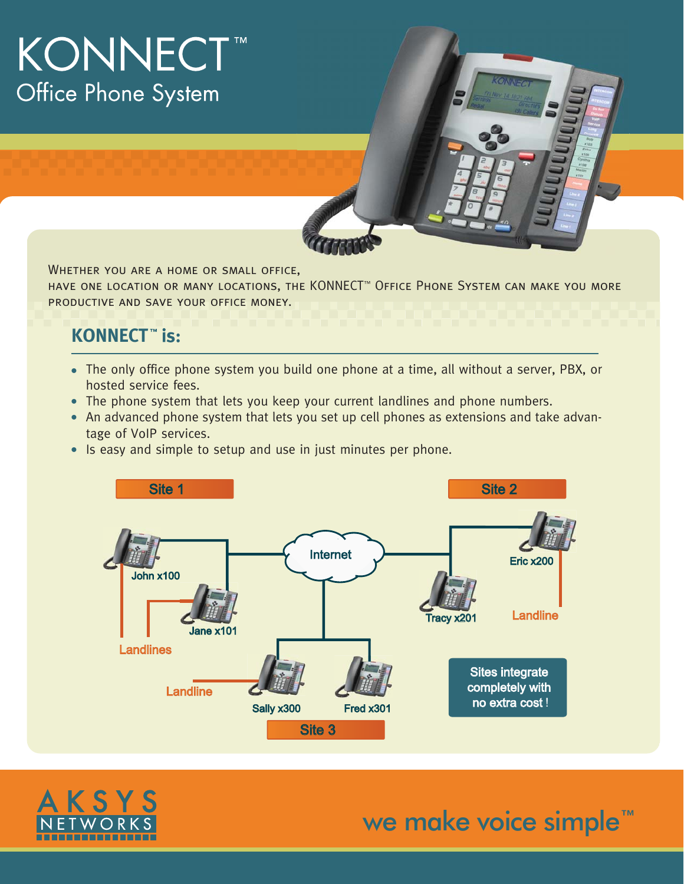# **KONNECT™** Office Phone System

Whether you are a home or small office,

have one location or many locations, the KONNECT™ Office Phone System can make you more productive and save your office money.

### **KONNECT™** is:

- The only office phone system you build one phone at a time, all without a server, PBX, or hosted service fees.
- The phone system that lets you keep your current landlines and phone numbers.
- An advanced phone system that lets you set up cell phones as extensions and take advan tage of VoIP services.
- **IS easy and simple to setup and use in just minutes per phone.**





we make voice simple<sup>™</sup>